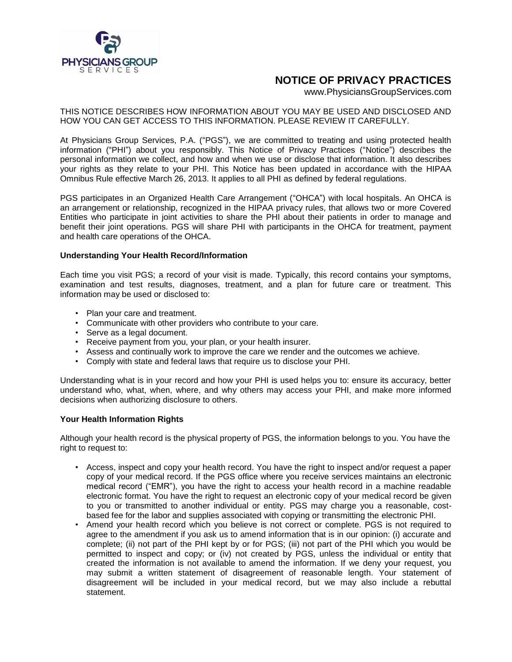

# **NOTICE OF PRIVACY PRACTICES**

www.PhysiciansGroupServices.com

THIS NOTICE DESCRIBES HOW INFORMATION ABOUT YOU MAY BE USED AND DISCLOSED AND HOW YOU CAN GET ACCESS TO THIS INFORMATION. PLEASE REVIEW IT CAREFULLY.

At Physicians Group Services, P.A. ("PGS"), we are committed to treating and using protected health information ("PHI") about you responsibly. This Notice of Privacy Practices ("Notice") describes the personal information we collect, and how and when we use or disclose that information. It also describes your rights as they relate to your PHI. This Notice has been updated in accordance with the HIPAA Omnibus Rule effective March 26, 2013. It applies to all PHI as defined by federal regulations.

PGS participates in an Organized Health Care Arrangement ("OHCA") with local hospitals. An OHCA is an arrangement or relationship, recognized in the HIPAA privacy rules, that allows two or more Covered Entities who participate in joint activities to share the PHI about their patients in order to manage and benefit their joint operations. PGS will share PHI with participants in the OHCA for treatment, payment and health care operations of the OHCA.

### **Understanding Your Health Record/Information**

Each time you visit PGS; a record of your visit is made. Typically, this record contains your symptoms, examination and test results, diagnoses, treatment, and a plan for future care or treatment. This information may be used or disclosed to:

- Plan your care and treatment.
- Communicate with other providers who contribute to your care.
- Serve as a legal document.
- Receive payment from you, your plan, or your health insurer.
- Assess and continually work to improve the care we render and the outcomes we achieve.
- Comply with state and federal laws that require us to disclose your PHI.

Understanding what is in your record and how your PHI is used helps you to: ensure its accuracy, better understand who, what, when, where, and why others may access your PHI, and make more informed decisions when authorizing disclosure to others.

### **Your Health Information Rights**

Although your health record is the physical property of PGS, the information belongs to you. You have the right to request to:

- Access, inspect and copy your health record. You have the right to inspect and/or request a paper copy of your medical record. If the PGS office where you receive services maintains an electronic medical record ("EMR"), you have the right to access your health record in a machine readable electronic format. You have the right to request an electronic copy of your medical record be given to you or transmitted to another individual or entity. PGS may charge you a reasonable, costbased fee for the labor and supplies associated with copying or transmitting the electronic PHI.
- Amend your health record which you believe is not correct or complete. PGS is not required to agree to the amendment if you ask us to amend information that is in our opinion: (i) accurate and complete; (ii) not part of the PHI kept by or for PGS; (iii) not part of the PHI which you would be permitted to inspect and copy; or (iv) not created by PGS, unless the individual or entity that created the information is not available to amend the information. If we deny your request, you may submit a written statement of disagreement of reasonable length. Your statement of disagreement will be included in your medical record, but we may also include a rebuttal statement.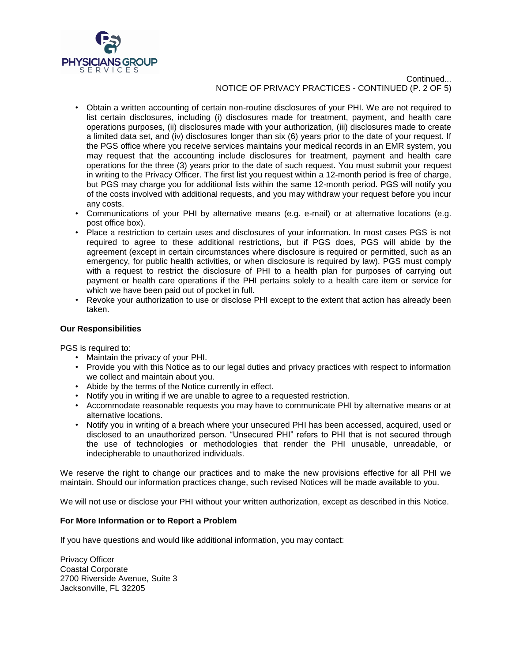

Continued... NOTICE OF PRIVACY PRACTICES - CONTINUED (P. 2 OF 5)

- Obtain a written accounting of certain non-routine disclosures of your PHI. We are not required to list certain disclosures, including (i) disclosures made for treatment, payment, and health care operations purposes, (ii) disclosures made with your authorization, (iii) disclosures made to create a limited data set, and (iv) disclosures longer than six (6) years prior to the date of your request. If the PGS office where you receive services maintains your medical records in an EMR system, you may request that the accounting include disclosures for treatment, payment and health care operations for the three (3) years prior to the date of such request. You must submit your request in writing to the Privacy Officer. The first list you request within a 12-month period is free of charge, but PGS may charge you for additional lists within the same 12-month period. PGS will notify you of the costs involved with additional requests, and you may withdraw your request before you incur any costs.
- Communications of your PHI by alternative means (e.g. e-mail) or at alternative locations (e.g. post office box).
- Place a restriction to certain uses and disclosures of your information. In most cases PGS is not required to agree to these additional restrictions, but if PGS does, PGS will abide by the agreement (except in certain circumstances where disclosure is required or permitted, such as an emergency, for public health activities, or when disclosure is required by law). PGS must comply with a request to restrict the disclosure of PHI to a health plan for purposes of carrying out payment or health care operations if the PHI pertains solely to a health care item or service for which we have been paid out of pocket in full.
- Revoke your authorization to use or disclose PHI except to the extent that action has already been taken.

## **Our Responsibilities**

PGS is required to:

- Maintain the privacy of your PHI.
- Provide you with this Notice as to our legal duties and privacy practices with respect to information we collect and maintain about you.
- Abide by the terms of the Notice currently in effect.
- Notify you in writing if we are unable to agree to a requested restriction.
- Accommodate reasonable requests you may have to communicate PHI by alternative means or at alternative locations.
- Notify you in writing of a breach where your unsecured PHI has been accessed, acquired, used or disclosed to an unauthorized person. "Unsecured PHI" refers to PHI that is not secured through the use of technologies or methodologies that render the PHI unusable, unreadable, or indecipherable to unauthorized individuals.

We reserve the right to change our practices and to make the new provisions effective for all PHI we maintain. Should our information practices change, such revised Notices will be made available to you.

We will not use or disclose your PHI without your written authorization, except as described in this Notice.

### **For More Information or to Report a Problem**

If you have questions and would like additional information, you may contact:

Privacy Officer Coastal Corporate 2700 Riverside Avenue, Suite 3 Jacksonville, FL 32205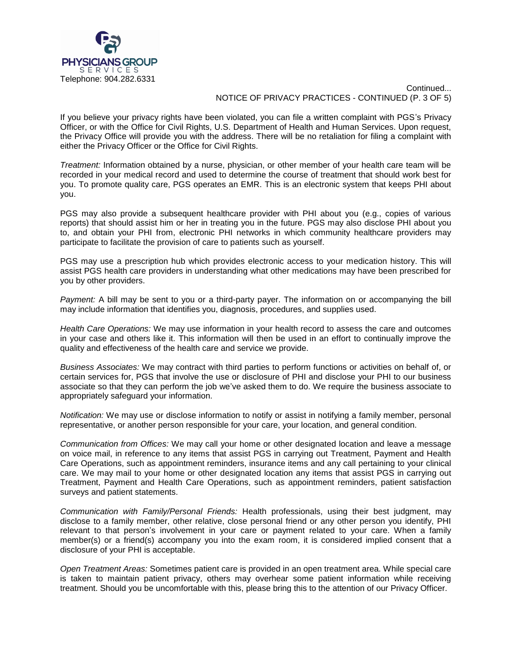

Continued... NOTICE OF PRIVACY PRACTICES - CONTINUED (P. 3 OF 5)

If you believe your privacy rights have been violated, you can file a written complaint with PGS's Privacy Officer, or with the Office for Civil Rights, U.S. Department of Health and Human Services. Upon request, the Privacy Office will provide you with the address. There will be no retaliation for filing a complaint with either the Privacy Officer or the Office for Civil Rights.

*Treatment:* Information obtained by a nurse, physician, or other member of your health care team will be recorded in your medical record and used to determine the course of treatment that should work best for you. To promote quality care, PGS operates an EMR. This is an electronic system that keeps PHI about you.

PGS may also provide a subsequent healthcare provider with PHI about you (e.g., copies of various reports) that should assist him or her in treating you in the future. PGS may also disclose PHI about you to, and obtain your PHI from, electronic PHI networks in which community healthcare providers may participate to facilitate the provision of care to patients such as yourself.

PGS may use a prescription hub which provides electronic access to your medication history. This will assist PGS health care providers in understanding what other medications may have been prescribed for you by other providers.

*Payment:* A bill may be sent to you or a third-party payer. The information on or accompanying the bill may include information that identifies you, diagnosis, procedures, and supplies used.

*Health Care Operations:* We may use information in your health record to assess the care and outcomes in your case and others like it. This information will then be used in an effort to continually improve the quality and effectiveness of the health care and service we provide.

*Business Associates:* We may contract with third parties to perform functions or activities on behalf of, or certain services for, PGS that involve the use or disclosure of PHI and disclose your PHI to our business associate so that they can perform the job we've asked them to do. We require the business associate to appropriately safeguard your information.

*Notification:* We may use or disclose information to notify or assist in notifying a family member, personal representative, or another person responsible for your care, your location, and general condition.

*Communication from Offices:* We may call your home or other designated location and leave a message on voice mail, in reference to any items that assist PGS in carrying out Treatment, Payment and Health Care Operations, such as appointment reminders, insurance items and any call pertaining to your clinical care. We may mail to your home or other designated location any items that assist PGS in carrying out Treatment, Payment and Health Care Operations, such as appointment reminders, patient satisfaction surveys and patient statements.

*Communication with Family/Personal Friends:* Health professionals, using their best judgment, may disclose to a family member, other relative, close personal friend or any other person you identify, PHI relevant to that person's involvement in your care or payment related to your care. When a family member(s) or a friend(s) accompany you into the exam room, it is considered implied consent that a disclosure of your PHI is acceptable.

*Open Treatment Areas:* Sometimes patient care is provided in an open treatment area. While special care is taken to maintain patient privacy, others may overhear some patient information while receiving treatment. Should you be uncomfortable with this, please bring this to the attention of our Privacy Officer.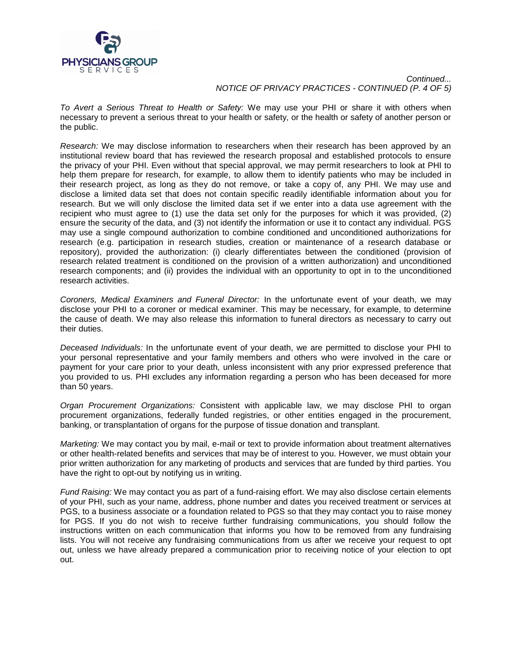

*Continued... NOTICE OF PRIVACY PRACTICES - CONTINUED (P. 4 OF 5)*

*To Avert a Serious Threat to Health or Safety:* We may use your PHI or share it with others when necessary to prevent a serious threat to your health or safety, or the health or safety of another person or the public.

*Research:* We may disclose information to researchers when their research has been approved by an institutional review board that has reviewed the research proposal and established protocols to ensure the privacy of your PHI. Even without that special approval, we may permit researchers to look at PHI to help them prepare for research, for example, to allow them to identify patients who may be included in their research project, as long as they do not remove, or take a copy of, any PHI. We may use and disclose a limited data set that does not contain specific readily identifiable information about you for research. But we will only disclose the limited data set if we enter into a data use agreement with the recipient who must agree to (1) use the data set only for the purposes for which it was provided, (2) ensure the security of the data, and (3) not identify the information or use it to contact any individual. PGS may use a single compound authorization to combine conditioned and unconditioned authorizations for research (e.g. participation in research studies, creation or maintenance of a research database or repository), provided the authorization: (i) clearly differentiates between the conditioned (provision of research related treatment is conditioned on the provision of a written authorization) and unconditioned research components; and (ii) provides the individual with an opportunity to opt in to the unconditioned research activities.

*Coroners, Medical Examiners and Funeral Director:* In the unfortunate event of your death, we may disclose your PHI to a coroner or medical examiner. This may be necessary, for example, to determine the cause of death. We may also release this information to funeral directors as necessary to carry out their duties.

*Deceased Individuals:* In the unfortunate event of your death, we are permitted to disclose your PHI to your personal representative and your family members and others who were involved in the care or payment for your care prior to your death, unless inconsistent with any prior expressed preference that you provided to us. PHI excludes any information regarding a person who has been deceased for more than 50 years.

*Organ Procurement Organizations:* Consistent with applicable law, we may disclose PHI to organ procurement organizations, federally funded registries, or other entities engaged in the procurement, banking, or transplantation of organs for the purpose of tissue donation and transplant.

*Marketing:* We may contact you by mail, e-mail or text to provide information about treatment alternatives or other health-related benefits and services that may be of interest to you. However, we must obtain your prior written authorization for any marketing of products and services that are funded by third parties. You have the right to opt-out by notifying us in writing.

*Fund Raising:* We may contact you as part of a fund-raising effort. We may also disclose certain elements of your PHI, such as your name, address, phone number and dates you received treatment or services at PGS, to a business associate or a foundation related to PGS so that they may contact you to raise money for PGS. If you do not wish to receive further fundraising communications, you should follow the instructions written on each communication that informs you how to be removed from any fundraising lists. You will not receive any fundraising communications from us after we receive your request to opt out, unless we have already prepared a communication prior to receiving notice of your election to opt out.